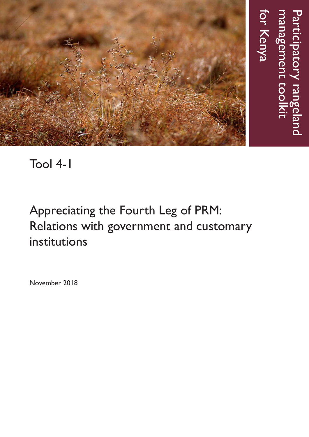

# Tool 4-1

# Appreciating the Fourth Leg of PRM: Relations with government and customary institutions

November 2018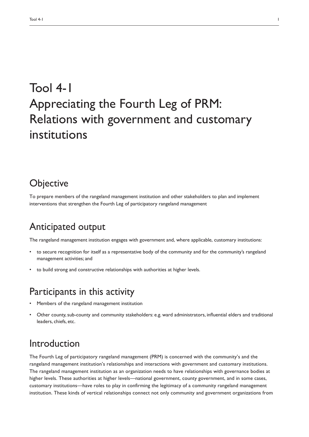# Tool 4-1 Appreciating the Fourth Leg of PRM: Relations with government and customary institutions

### **Objective**

To prepare members of the rangeland management institution and other stakeholders to plan and implement interventions that strengthen the Fourth Leg of participatory rangeland management

### Anticipated output

The rangeland management institution engages with government and, where applicable, customary institutions:

- to secure recognition for itself as a representative body of the community and for the community's rangeland management activities; and
- to build strong and constructive relationships with authorities at higher levels.

#### Participants in this activity

- Members of the rangeland management institution
- Other county, sub-county and community stakeholders: e.g. ward administrators, influential elders and traditional leaders, chiefs, etc.

#### Introduction

The Fourth Leg of participatory rangeland management (PRM) is concerned with the community's and the rangeland management institution's relationships and interactions with government and customary institutions. The rangeland management institution as an organization needs to have relationships with governance bodies at higher levels. These authorities at higher levels—national government, county government, and in some cases, customary institutions—have roles to play in confirming the legitimacy of a community rangeland management institution. These kinds of vertical relationships connect not only community and government organizations from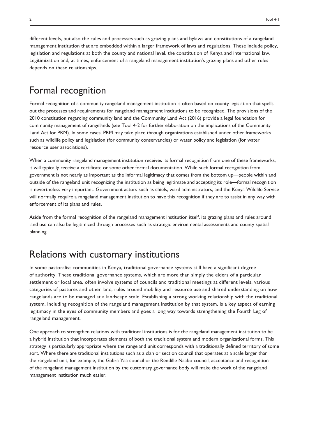different levels, but also the rules and processes such as grazing plans and bylaws and constitutions of a rangeland management institution that are embedded within a larger framework of laws and regulations. These include policy, legislation and regulations at both the county and national level, the constitution of Kenya and international law. Legitimization and, at times, enforcement of a rangeland management institution's grazing plans and other rules depends on these relationships.

# Formal recognition

Formal recognition of a community rangeland management institution is often based on county legislation that spells out the processes and requirements for rangeland management institutions to be recognized. The provisions of the 2010 constitution regarding community land and the Community Land Act (2016) provide a legal foundation for community management of rangelands (see Tool 4-2 for further elaboration on the implications of the Community Land Act for PRM). In some cases, PRM may take place through organizations established under other frameworks such as wildlife policy and legislation (for community conservancies) or water policy and legislation (for water resource user associations).

When a community rangeland management institution receives its formal recognition from one of these frameworks, it will typically receive a certificate or some other formal documentation. While such formal recognition from government is not nearly as important as the informal legitimacy that comes from the bottom up—people within and outside of the rangeland unit recognizing the institution as being legitimate and accepting its role—formal recognition is nevertheless very important. Government actors such as chiefs, ward administrators, and the Kenya Wildlife Service will normally require a rangeland management institution to have this recognition if they are to assist in any way with enforcement of its plans and rules.

Aside from the formal recognition of the rangeland management institution itself, its grazing plans and rules around land use can also be legitimized through processes such as strategic environmental assessments and county spatial planning.

### Relations with customary institutions

In some pastoralist communities in Kenya, traditional governance systems still have a significant degree of authority. These traditional governance systems, which are more than simply the elders of a particular settlement or local area, often involve systems of councils and traditional meetings at different levels, various categories of pastures and other land, rules around mobility and resource use and shared understanding on how rangelands are to be managed at a landscape scale. Establishing a strong working relationship with the traditional system, including recognition of the rangeland management institution by that system, is a key aspect of earning legitimacy in the eyes of community members and goes a long way towards strengthening the Fourth Leg of rangeland management.

One approach to strengthen relations with traditional institutions is for the rangeland management institution to be a hybrid institution that incorporates elements of both the traditional system and modern organizational forms. This strategy is particularly appropriate where the rangeland unit corresponds with a traditionally defined territory of some sort. Where there are traditional institutions such as a clan or section council that operates at a scale larger than the rangeland unit, for example, the Gabra Yaa council or the Rendille Naabo council, acceptance and recognition of the rangeland management institution by the customary governance body will make the work of the rangeland management institution much easier.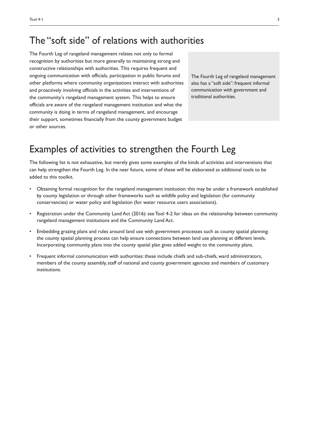#### The "soft side" of relations with authorities

The Fourth Leg of rangeland management relates not only to formal recognition by authorities but more generally to maintaining strong and constructive relationships with authorities. This requires frequent and ongoing communication with officials, participation in public forums and other platforms where community organizations interact with authorities and proactively involving officials in the activities and interventions of the community's rangeland management system. This helps to ensure officials are aware of the rangeland management institution and what the community is doing in terms of rangeland management, and encourage their support, sometimes financially from the county government budget or other sources.

The Fourth Leg of rangeland management also has a "soft side": frequent informal communication with government and traditional authorities.

## Examples of activities to strengthen the Fourth Leg

The following list is not exhaustive, but merely gives some examples of the kinds of activities and interventions that can help strengthen the Fourth Leg. In the near future, some of these will be elaborated as additional tools to be added to this toolkit.

- Obtaining formal recognition for the rangeland management institution: this may be under a framework established by county legislation or through other frameworks such as wildlife policy and legislation (for community conservancies) or water policy and legislation (for water resource users associations).
- Registration under the Community Land Act (2016): see Tool 4-2 for ideas on the relationship between community rangeland management institutions and the Community Land Act.
- Embedding grazing plans and rules around land use with government processes such as county spatial planning: the county spatial planning process can help ensure connections between land use planning at different levels. Incorporating community plans into the county spatial plan gives added weight to the community plans.
- Frequent informal communication with authorities: these include chiefs and sub-chiefs, ward administrators, members of the county assembly, staff of national and county government agencies and members of customary institutions.